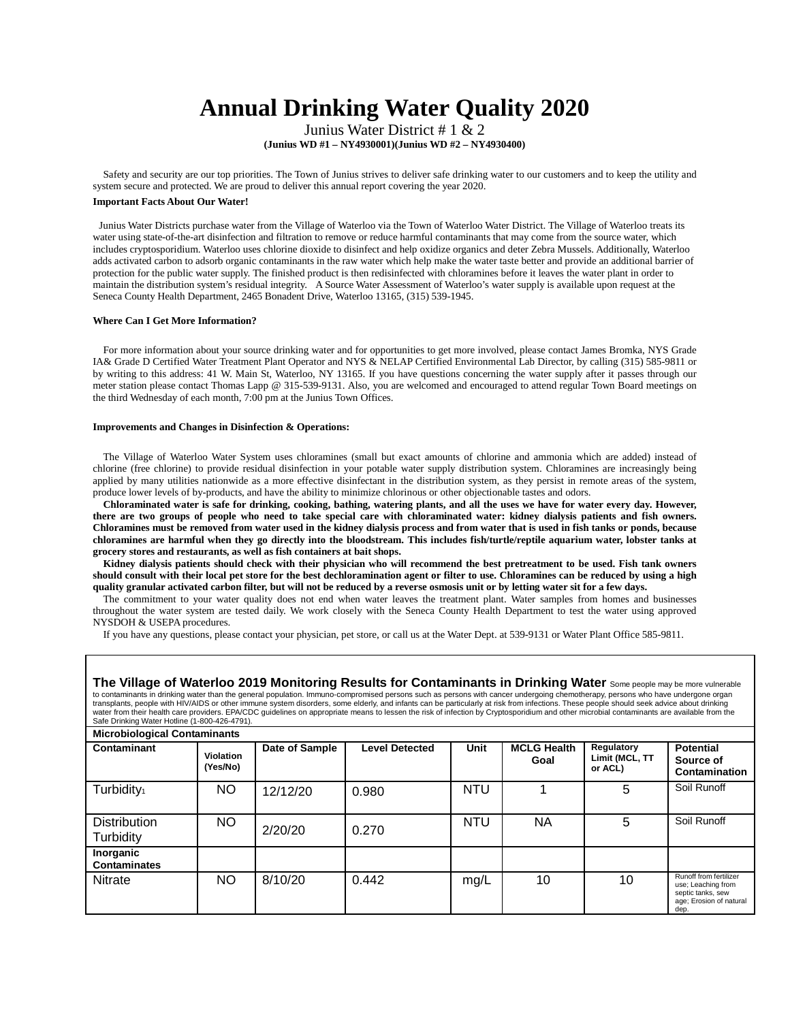# **Annual Drinking Water Quality 2020**

Junius Water District # 1 & 2

**(Junius WD #1 – NY4930001)(Junius WD #2 – NY4930400)**

Safety and security are our top priorities. The Town of Junius strives to deliver safe drinking water to our customers and to keep the utility and system secure and protected. We are proud to deliver this annual report covering the year 2020.

## **Important Facts About Our Water!**

Junius Water Districts purchase water from the Village of Waterloo via the Town of Waterloo Water District. The Village of Waterloo treats its water using state-of-the-art disinfection and filtration to remove or reduce harmful contaminants that may come from the source water, which includes cryptosporidium. Waterloo uses chlorine dioxide to disinfect and help oxidize organics and deter Zebra Mussels. Additionally, Waterloo adds activated carbon to adsorb organic contaminants in the raw water which help make the water taste better and provide an additional barrier of protection for the public water supply. The finished product is then redisinfected with chloramines before it leaves the water plant in order to maintain the distribution system's residual integrity. A Source Water Assessment of Waterloo's water supply is available upon request at the Seneca County Health Department, 2465 Bonadent Drive, Waterloo 13165, (315) 539-1945.

#### **Where Can I Get More Information?**

For more information about your source drinking water and for opportunities to get more involved, please contact James Bromka, NYS Grade IA& Grade D Certified Water Treatment Plant Operator and NYS & NELAP Certified Environmental Lab Director, by calling (315) 585-9811 or by writing to this address: 41 W. Main St, Waterloo, NY 13165. If you have questions concerning the water supply after it passes through our meter station please contact Thomas Lapp @ 315-539-9131. Also, you are welcomed and encouraged to attend regular Town Board meetings on the third Wednesday of each month, 7:00 pm at the Junius Town Offices.

#### **Improvements and Changes in Disinfection & Operations:**

The Village of Waterloo Water System uses chloramines (small but exact amounts of chlorine and ammonia which are added) instead of chlorine (free chlorine) to provide residual disinfection in your potable water supply distribution system. Chloramines are increasingly being applied by many utilities nationwide as a more effective disinfectant in the distribution system, as they persist in remote areas of the system, produce lower levels of by-products, and have the ability to minimize chlorinous or other objectionable tastes and odors.

**Chloraminated water is safe for drinking, cooking, bathing, watering plants, and all the uses we have for water every day. However, there are two groups of people who need to take special care with chloraminated water: kidney dialysis patients and fish owners. Chloramines must be removed from water used in the kidney dialysis process and from water that is used in fish tanks or ponds, because chloramines are harmful when they go directly into the bloodstream. This includes fish/turtle/reptile aquarium water, lobster tanks at grocery stores and restaurants, as well as fish containers at bait shops.** 

**Kidney dialysis patients should check with their physician who will recommend the best pretreatment to be used. Fish tank owners should consult with their local pet store for the best dechloramination agent or filter to use. Chloramines can be reduced by using a high quality granular activated carbon filter, but will not be reduced by a reverse osmosis unit or by letting water sit for a few days.** 

The commitment to your water quality does not end when water leaves the treatment plant. Water samples from homes and businesses throughout the water system are tested daily. We work closely with the Seneca County Health Department to test the water using approved NYSDOH & USEPA procedures.

If you have any questions, please contact your physician, pet store, or call us at the Water Dept. at 539-9131 or Water Plant Office 585-9811.

| The Village of Waterloo 2019 Monitoring Results for Contaminants in Drinking Water Some people may be more vulnerable<br>to contaminants in drinking water than the general population. Immuno-compromised persons such as persons with cancer undergoing chemotherapy, persons who have undergone organ<br>transplants, people with HIV/AIDS or other immune system disorders, some elderly, and infants can be particularly at risk from infections. These people should seek advice about drinking<br>water from their health care providers. EPA/CDC guidelines on appropriate means to lessen the risk of infection by Cryptosporidium and other microbial contaminants are available from the<br>Safe Drinking Water Hotline (1-800-426-4791).<br><b>Microbiological Contaminants</b> |                       |                |                       |            |                            |                                         |                                                                                                      |
|---------------------------------------------------------------------------------------------------------------------------------------------------------------------------------------------------------------------------------------------------------------------------------------------------------------------------------------------------------------------------------------------------------------------------------------------------------------------------------------------------------------------------------------------------------------------------------------------------------------------------------------------------------------------------------------------------------------------------------------------------------------------------------------------|-----------------------|----------------|-----------------------|------------|----------------------------|-----------------------------------------|------------------------------------------------------------------------------------------------------|
| Contaminant                                                                                                                                                                                                                                                                                                                                                                                                                                                                                                                                                                                                                                                                                                                                                                                 | Violation<br>(Yes/No) | Date of Sample | <b>Level Detected</b> | Unit       | <b>MCLG Health</b><br>Goal | Regulatory<br>Limit (MCL, TT<br>or ACL) | <b>Potential</b><br>Source of<br>Contamination                                                       |
| Turbidity <sub>1</sub>                                                                                                                                                                                                                                                                                                                                                                                                                                                                                                                                                                                                                                                                                                                                                                      | NO.                   | 12/12/20       | 0.980                 | <b>NTU</b> |                            | 5                                       | Soil Runoff                                                                                          |
| <b>Distribution</b><br>Turbidity                                                                                                                                                                                                                                                                                                                                                                                                                                                                                                                                                                                                                                                                                                                                                            | NO.                   | 2/20/20        | 0.270                 | <b>NTU</b> | NА                         | 5                                       | Soil Runoff                                                                                          |
| Inorganic<br><b>Contaminates</b>                                                                                                                                                                                                                                                                                                                                                                                                                                                                                                                                                                                                                                                                                                                                                            |                       |                |                       |            |                            |                                         |                                                                                                      |
| <b>Nitrate</b>                                                                                                                                                                                                                                                                                                                                                                                                                                                                                                                                                                                                                                                                                                                                                                              | NO.                   | 8/10/20        | 0.442                 | mq/L       | 10                         | 10                                      | Runoff from fertilizer<br>use; Leaching from<br>septic tanks, sew<br>age; Erosion of natural<br>dep. |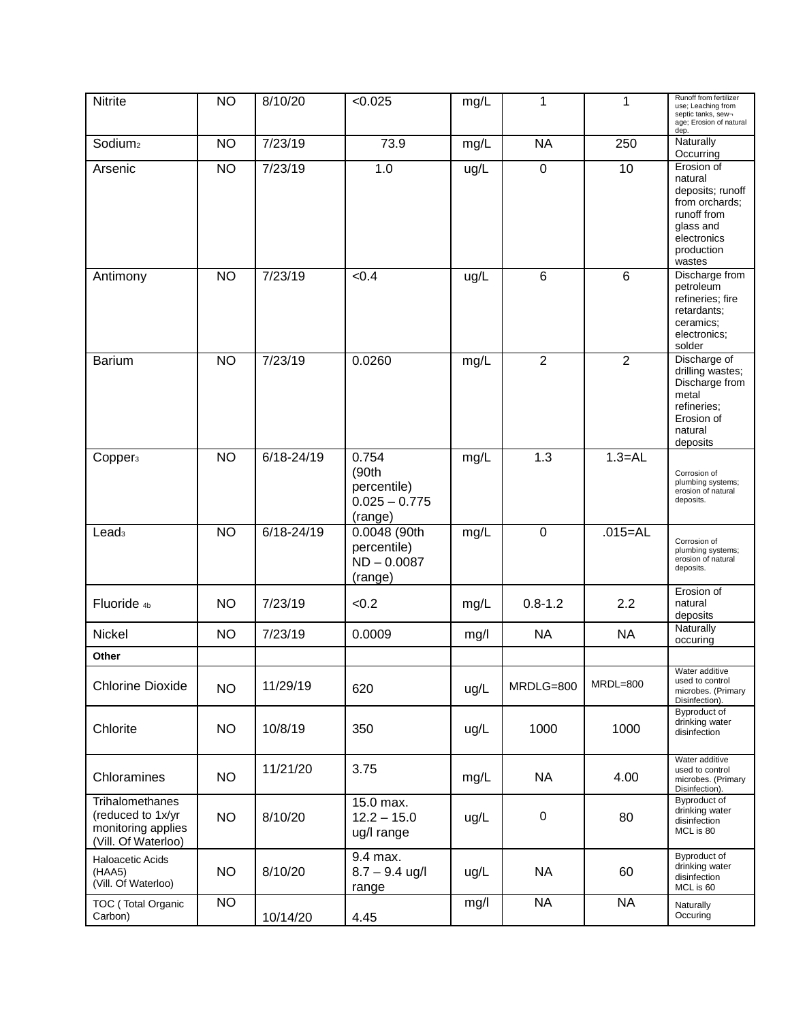| <b>Nitrite</b>                                                                    | <b>NO</b>      | 8/10/20        | < 0.025                                                     | mg/L | 1              | 1               | Runoff from fertilizer<br>use; Leaching from<br>septic tanks, sew-<br>age; Erosion of natural<br>dep.                          |
|-----------------------------------------------------------------------------------|----------------|----------------|-------------------------------------------------------------|------|----------------|-----------------|--------------------------------------------------------------------------------------------------------------------------------|
| Sodium <sub>2</sub>                                                               | <b>NO</b>      | 7/23/19        | 73.9                                                        | mg/L | <b>NA</b>      | 250             | Naturally<br>Occurring                                                                                                         |
| Arsenic                                                                           | N <sub>O</sub> | 7/23/19        | 1.0                                                         | ug/L | $\overline{0}$ | 10              | Erosion of<br>natural<br>deposits; runoff<br>from orchards;<br>runoff from<br>glass and<br>electronics<br>production<br>wastes |
| Antimony                                                                          | <b>NO</b>      | 7/23/19        | < 0.4                                                       | ug/L | 6              | $6\phantom{1}6$ | Discharge from<br>petroleum<br>refineries; fire<br>retardants;<br>ceramics;<br>electronics;<br>solder                          |
| <b>Barium</b>                                                                     | <b>NO</b>      | 7/23/19        | 0.0260                                                      | mg/L | $\overline{2}$ | $\overline{2}$  | Discharge of<br>drilling wastes;<br>Discharge from<br>metal<br>refineries;<br>Erosion of<br>natural<br>deposits                |
| Copper <sub>3</sub>                                                               | <b>NO</b>      | $6/18 - 24/19$ | 0.754<br>(90th<br>percentile)<br>$0.025 - 0.775$<br>(range) | mg/L | 1.3            | $1.3 = AL$      | Corrosion of<br>plumbing systems;<br>erosion of natural<br>deposits.                                                           |
| Lead <sub>3</sub>                                                                 | <b>NO</b>      | $6/18 - 24/19$ | 0.0048 (90th<br>percentile)<br>$ND - 0.0087$<br>(range)     | mg/L | $\overline{0}$ | $.015 = AL$     | Corrosion of<br>plumbing systems;<br>erosion of natural<br>deposits.                                                           |
| Fluoride <sub>4b</sub>                                                            | <b>NO</b>      | 7/23/19        | < 0.2                                                       | mg/L | $0.8 - 1.2$    | 2.2             | Erosion of<br>natural<br>deposits                                                                                              |
| Nickel                                                                            | <b>NO</b>      | 7/23/19        | 0.0009                                                      | mg/l | <b>NA</b>      | <b>NA</b>       | Naturally<br>occuring                                                                                                          |
| Other                                                                             |                |                |                                                             |      |                |                 |                                                                                                                                |
| <b>Chlorine Dioxide</b>                                                           | <b>NO</b>      | 11/29/19       | 620                                                         | ug/L | MRDLG=800      | MRDL=800        | Water additive<br>used to control<br>microbes. (Primary<br>Disinfection).                                                      |
| Chlorite                                                                          | <b>NO</b>      | 10/8/19        | 350                                                         | ug/L | 1000           | 1000            | Byproduct of<br>drinking water<br>disinfection                                                                                 |
| Chloramines                                                                       | <b>NO</b>      | 11/21/20       | 3.75                                                        | mg/L | <b>NA</b>      | 4.00            | Water additive<br>used to control<br>microbes. (Primary<br>Disinfection).                                                      |
| Trihalomethanes<br>(reduced to 1x/yr<br>monitoring applies<br>(Vill. Of Waterloo) | <b>NO</b>      | 8/10/20        | 15.0 max.<br>$12.2 - 15.0$<br>ug/I range                    | ug/L | 0              | 80              | <b>Byproduct of</b><br>drinking water<br>disinfection<br>MCL is 80                                                             |
| Haloacetic Acids<br>(HAA5)<br>(Vill. Of Waterloo)                                 | <b>NO</b>      | 8/10/20        | 9.4 max.<br>$8.7 - 9.4$ ug/l<br>range                       | ug/L | <b>NA</b>      | 60              | Byproduct of<br>drinking water<br>disinfection<br>MCL is 60                                                                    |
| TOC (Total Organic<br>Carbon)                                                     | <b>NO</b>      | 10/14/20       | 4.45                                                        | mg/l | <b>NA</b>      | <b>NA</b>       | Naturally<br>Occuring                                                                                                          |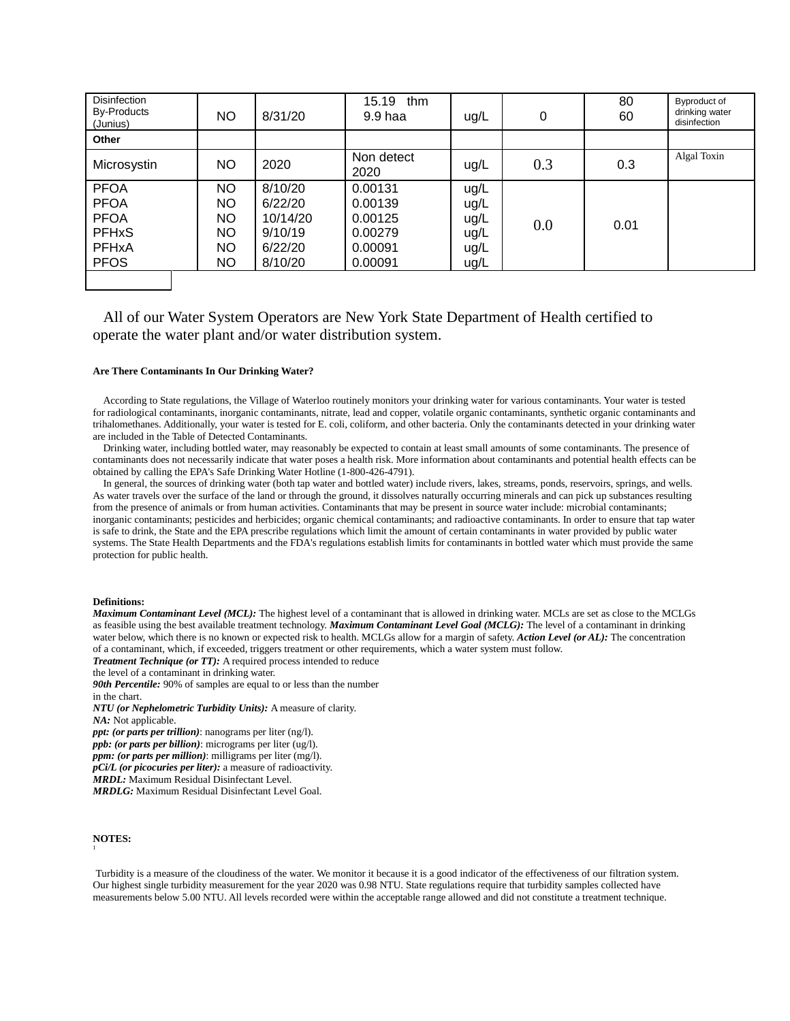| <b>Disinfection</b><br>By-Products<br>(Junius) | NO        | 8/31/20  | 15.19<br>thm<br>9.9 haa | ug/L | 0   | 80<br>60 | Byproduct of<br>drinking water<br>disinfection |
|------------------------------------------------|-----------|----------|-------------------------|------|-----|----------|------------------------------------------------|
| Other                                          |           |          |                         |      |     |          |                                                |
| Microsystin                                    | NO.       | 2020     | Non detect<br>2020      | ug/L | 0.3 | 0.3      | Algal Toxin                                    |
| <b>PFOA</b>                                    | NO.       | 8/10/20  | 0.00131                 | ug/L |     |          |                                                |
| <b>PFOA</b>                                    | NO.       | 6/22/20  | 0.00139                 | ug/L |     |          |                                                |
| <b>PFOA</b>                                    | NO.       | 10/14/20 | 0.00125                 | ug/L | 0.0 |          |                                                |
| <b>PFHxS</b>                                   | <b>NO</b> | 9/10/19  | 0.00279                 | ug/L |     | 0.01     |                                                |
| <b>PFHxA</b>                                   | NO.       | 6/22/20  | 0.00091                 | ug/L |     |          |                                                |
| <b>PFOS</b>                                    | NO.       | 8/10/20  | 0.00091                 | ug/L |     |          |                                                |
|                                                |           |          |                         |      |     |          |                                                |

# All of our Water System Operators are New York State Department of Health certified to operate the water plant and/or water distribution system.

#### **Are There Contaminants In Our Drinking Water?**

According to State regulations, the Village of Waterloo routinely monitors your drinking water for various contaminants. Your water is tested for radiological contaminants, inorganic contaminants, nitrate, lead and copper, volatile organic contaminants, synthetic organic contaminants and trihalomethanes. Additionally, your water is tested for E. coli, coliform, and other bacteria. Only the contaminants detected in your drinking water are included in the Table of Detected Contaminants.

Drinking water, including bottled water, may reasonably be expected to contain at least small amounts of some contaminants. The presence of contaminants does not necessarily indicate that water poses a health risk. More information about contaminants and potential health effects can be obtained by calling the EPA's Safe Drinking Water Hotline (1-800-426-4791).

In general, the sources of drinking water (both tap water and bottled water) include rivers, lakes, streams, ponds, reservoirs, springs, and wells. As water travels over the surface of the land or through the ground, it dissolves naturally occurring minerals and can pick up substances resulting from the presence of animals or from human activities. Contaminants that may be present in source water include: microbial contaminants; inorganic contaminants; pesticides and herbicides; organic chemical contaminants; and radioactive contaminants. In order to ensure that tap water is safe to drink, the State and the EPA prescribe regulations which limit the amount of certain contaminants in water provided by public water systems. The State Health Departments and the FDA's regulations establish limits for contaminants in bottled water which must provide the same protection for public health.

#### **Definitions:**

*Maximum Contaminant Level (MCL):* The highest level of a contaminant that is allowed in drinking water. MCLs are set as close to the MCLGs as feasible using the best available treatment technology. *Maximum Contaminant Level Goal (MCLG):* The level of a contaminant in drinking water below, which there is no known or expected risk to health. MCLGs allow for a margin of safety. *Action Level (or AL):* The concentration of a contaminant, which, if exceeded, triggers treatment or other requirements, which a water system must follow.

*Treatment Technique (or TT):* A required process intended to reduce

the level of a contaminant in drinking water.

*90th Percentile:* 90% of samples are equal to or less than the number in the chart.

*NTU (or Nephelometric Turbidity Units):* A measure of clarity.

*NA:* Not applicable.

*ppt: (or parts per trillion)*: nanograms per liter (ng/l).

*ppb: (or parts per billion)*: micrograms per liter (ug/l).

*ppm: (or parts per million)*: milligrams per liter (mg/l).

*pCi/L (or picocuries per liter):* a measure of radioactivity. *MRDL:* Maximum Residual Disinfectant Level.

*MRDLG:* Maximum Residual Disinfectant Level Goal.

# **NOTES:**

1

Turbidity is a measure of the cloudiness of the water. We monitor it because it is a good indicator of the effectiveness of our filtration system. Our highest single turbidity measurement for the year 2020 was 0.98 NTU. State regulations require that turbidity samples collected have measurements below 5.00 NTU. All levels recorded were within the acceptable range allowed and did not constitute a treatment technique.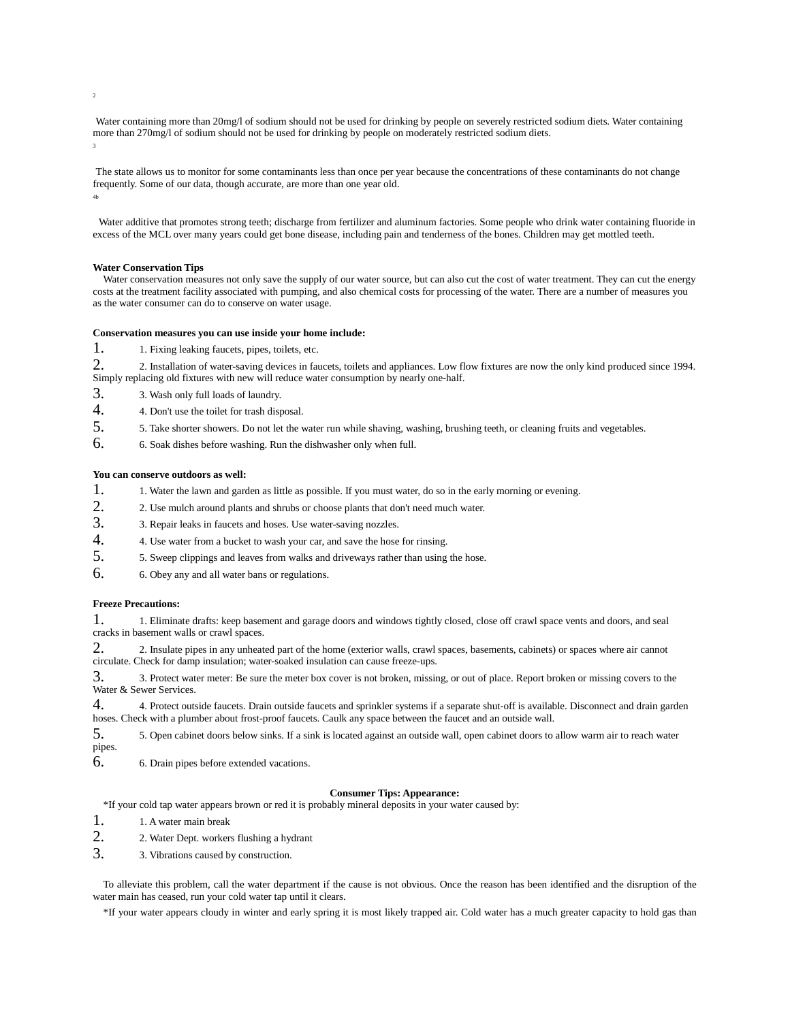Water containing more than 20mg/l of sodium should not be used for drinking by people on severely restricted sodium diets. Water containing more than 270mg/l of sodium should not be used for drinking by people on moderately restricted sodium diets. 3

The state allows us to monitor for some contaminants less than once per year because the concentrations of these contaminants do not change frequently. Some of our data, though accurate, are more than one year old. 4b

Water additive that promotes strong teeth; discharge from fertilizer and aluminum factories. Some people who drink water containing fluoride in excess of the MCL over many years could get bone disease, including pain and tenderness of the bones. Children may get mottled teeth.

#### **Water Conservation Tips**

Water conservation measures not only save the supply of our water source, but can also cut the cost of water treatment. They can cut the energy costs at the treatment facility associated with pumping, and also chemical costs for processing of the water. There are a number of measures you as the water consumer can do to conserve on water usage.

#### **Conservation measures you can use inside your home include:**

1. <sup>1</sup>. Fixing leaking faucets, pipes, toilets, etc.

2. 2. Installation of water-saving devices in faucets, toilets and appliances. Low flow fixtures are now the only kind produced since 1994. Simply replacing old fixtures with new will reduce water consumption by nearly one-half.

- 3. 3. Wash only full loads of laundry.
- 4. 4. Don't use the toilet for trash disposal.
- 5. 5. Take shorter showers. Do not let the water run while shaving, washing, brushing teeth, or cleaning fruits and vegetables.
- 6. 6. Soak dishes before washing. Run the dishwasher only when full.

# **You can conserve outdoors as well:**

- 1. 1. Water the lawn and garden as little as possible. If you must water, do so in the early morning or evening.
- 2. 2. Use mulch around plants and shrubs or choose plants that don't need much water.
- 3. 3. Repair leaks in faucets and hoses. Use water-saving nozzles.
- 4. 4. Use water from a bucket to wash your car, and save the hose for rinsing.
- 5. 5. Sweep clippings and leaves from walks and driveways rather than using the hose.
- 6. 6. Obey any and all water bans or regulations.

#### **Freeze Precautions:**

1. 1. Eliminate drafts: keep basement and garage doors and windows tightly closed, close off crawl space vents and doors, and seal cracks in basement walls or crawl spaces.

2. 2. Insulate pipes in any unheated part of the home (exterior walls, crawl spaces, basements, cabinets) or spaces where air cannot circulate. Check for damp insulation; water-soaked insulation can cause freeze-ups.

3. 3. Protect water meter: Be sure the meter box cover is not broken, missing, or out of place. Report broken or missing covers to the Water & Sewer Services.

4. 4. Protect outside faucets. Drain outside faucets and sprinkler systems if a separate shut-off is available. Disconnect and drain garden hoses. Check with a plumber about frost-proof faucets. Caulk any space between the faucet and an outside wall.

5. 5. Open cabinet doors below sinks. If a sink is located against an outside wall, open cabinet doors to allow warm air to reach water pipes.

6. 6. Drain pipes before extended vacations.

#### **Consumer Tips: Appearance:**

\*If your cold tap water appears brown or red it is probably mineral deposits in your water caused by:

- 1. 1. A water main break
- 2. 2. Water Dept. workers flushing a hydrant
- 3. 3. Vibrations caused by construction.

To alleviate this problem, call the water department if the cause is not obvious. Once the reason has been identified and the disruption of the water main has ceased, run your cold water tap until it clears.

\*If your water appears cloudy in winter and early spring it is most likely trapped air. Cold water has a much greater capacity to hold gas than

2